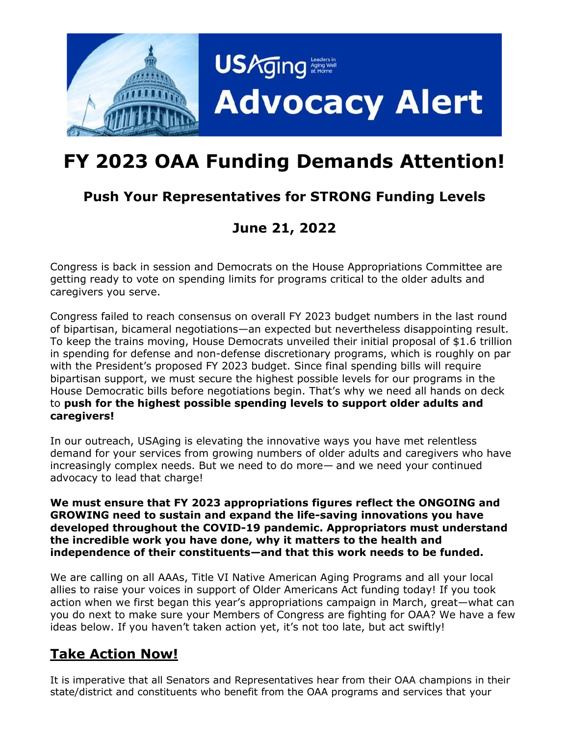

## **FY 2023 OAA Funding Demands Attention!**

## **Push Your Representatives for STRONG Funding Levels**

## **June 21, 2022**

Congress is back in session and Democrats on the House Appropriations Committee are getting ready to vote on spending limits for programs critical to the older adults and caregivers you serve.

Congress failed to reach consensus on overall FY 2023 budget numbers in the last round of bipartisan, bicameral negotiations—an expected but nevertheless disappointing result. To keep the trains moving, House Democrats unveiled their initial proposal of \$1.6 trillion in spending for defense and non-defense discretionary programs, which is roughly on par with the President's proposed FY 2023 budget. Since final spending bills will require bipartisan support, we must secure the highest possible levels for our programs in the House Democratic bills before negotiations begin. That's why we need all hands on deck to **push for the highest possible spending levels to support older adults and caregivers!**

In our outreach, USAging is elevating the innovative ways you have met relentless demand for your services from growing numbers of older adults and caregivers who have increasingly complex needs. But we need to do more— and we need your continued advocacy to lead that charge!

**We must ensure that FY 2023 appropriations figures reflect the ONGOING and GROWING need to sustain and expand the life-saving innovations you have developed throughout the COVID-19 pandemic. Appropriators must understand the incredible work you have done, why it matters to the health and independence of their constituents—and that this work needs to be funded.** 

We are calling on all AAAs, Title VI Native American Aging Programs and all your local allies to raise your voices in support of Older Americans Act funding today! If you took action when we first began this year's appropriations campaign in March, great—what can you do next to make sure your Members of Congress are fighting for OAA? We have a few ideas below. If you haven't taken action yet, it's not too late, but act swiftly!

## **Take Action Now!**

It is imperative that all Senators and Representatives hear from their OAA champions in their state/district and constituents who benefit from the OAA programs and services that your